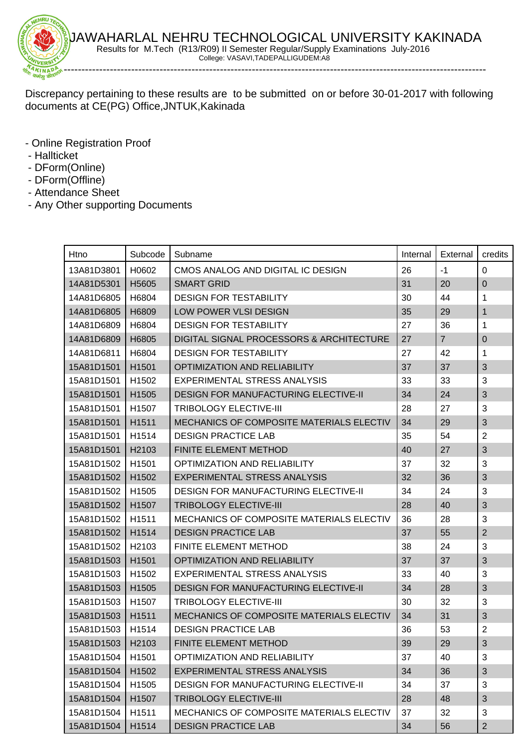

Discrepancy pertaining to these results are to be submitted on or before 30-01-2017 with following documents at CE(PG) Office,JNTUK,Kakinada

- Online Registration Proof
- Hallticket
- DForm(Online)
- DForm(Offline)
- Attendance Sheet
- Any Other supporting Documents

| Htno               | Subcode           | Subname                                         | Internal | External       | credits                   |
|--------------------|-------------------|-------------------------------------------------|----------|----------------|---------------------------|
| 13A81D3801         | H0602             | CMOS ANALOG AND DIGITAL IC DESIGN               | 26       | $-1$           | $\Omega$                  |
| 14A81D5301         | H5605             | <b>SMART GRID</b>                               | 31       | 20             | $\pmb{0}$                 |
| 14A81D6805         | H6804             | <b>DESIGN FOR TESTABILITY</b>                   | 30       | 44             | 1                         |
| 14A81D6805         | H6809             | <b>LOW POWER VLSI DESIGN</b>                    | 35       | 29             | 1                         |
| 14A81D6809         | H6804             | <b>DESIGN FOR TESTABILITY</b>                   | 27       | 36             | 1                         |
| 14A81D6809         | H6805             | DIGITAL SIGNAL PROCESSORS & ARCHITECTURE        | 27       | $\overline{7}$ | $\mathbf 0$               |
| 14A81D6811         | H6804             | <b>DESIGN FOR TESTABILITY</b>                   | 27       | 42             | 1                         |
| 15A81D1501         | H1501             | <b>OPTIMIZATION AND RELIABILITY</b>             | 37       | 37             | 3                         |
| 15A81D1501         | H <sub>1502</sub> | <b>EXPERIMENTAL STRESS ANALYSIS</b>             | 33       | 33             | 3                         |
| 15A81D1501         | H <sub>1505</sub> | <b>DESIGN FOR MANUFACTURING ELECTIVE-II</b>     | 34       | 24             | 3                         |
| 15A81D1501         | H <sub>1507</sub> | <b>TRIBOLOGY ELECTIVE-III</b>                   | 28       | 27             | 3                         |
| 15A81D1501         | H1511             | MECHANICS OF COMPOSITE MATERIALS ELECTIV        | 34       | 29             | $\sqrt{3}$                |
| 15A81D1501         | H <sub>1514</sub> | <b>DESIGN PRACTICE LAB</b>                      | 35       | 54             | $\overline{2}$            |
| 15A81D1501         | H2103             | FINITE ELEMENT METHOD                           | 40       | 27             | 3                         |
| 15A81D1502         | H <sub>1501</sub> | <b>OPTIMIZATION AND RELIABILITY</b>             | 37       | 32             | 3                         |
| 15A81D1502         | H1502             | <b>EXPERIMENTAL STRESS ANALYSIS</b>             | 32       | 36             | 3                         |
| 15A81D1502         | H1505             | <b>DESIGN FOR MANUFACTURING ELECTIVE-II</b>     | 34       | 24             | 3                         |
| 15A81D1502         | H <sub>1507</sub> | <b>TRIBOLOGY ELECTIVE-III</b>                   | 28       | 40             | 3                         |
| 15A81D1502         | H <sub>1511</sub> | <b>MECHANICS OF COMPOSITE MATERIALS ELECTIV</b> | 36       | 28             | 3                         |
| 15A81D1502         | H <sub>1514</sub> | <b>DESIGN PRACTICE LAB</b>                      | 37       | 55             | $\overline{2}$            |
| 15A81D1502         | H <sub>2103</sub> | <b>FINITE ELEMENT METHOD</b>                    | 38       | 24             | 3                         |
| 15A81D1503         | H1501             | <b>OPTIMIZATION AND RELIABILITY</b>             | 37       | 37             | 3                         |
| 15A81D1503         | H1502             | <b>EXPERIMENTAL STRESS ANALYSIS</b>             | 33       | 40             | 3                         |
| 15A81D1503         | H1505             | <b>DESIGN FOR MANUFACTURING ELECTIVE-II</b>     | 34       | 28             | 3                         |
| 15A81D1503         | H <sub>1507</sub> | <b>TRIBOLOGY ELECTIVE-III</b>                   | 30       | 32             | 3                         |
| 15A81D1503         | H <sub>1511</sub> | MECHANICS OF COMPOSITE MATERIALS ELECTIV        | 34       | 31             | 3                         |
| 15A81D1503         | H1514             | <b>DESIGN PRACTICE LAB</b>                      | 36       | 53             | $\overline{2}$            |
| 15A81D1503   H2103 |                   | FINITE ELEMENT METHOD                           | 39       | 29             | $\ensuremath{\mathsf{3}}$ |
| 15A81D1504         | H1501             | <b>OPTIMIZATION AND RELIABILITY</b>             | 37       | 40             | 3                         |
| 15A81D1504         | H1502             | <b>EXPERIMENTAL STRESS ANALYSIS</b>             | 34       | 36             | 3                         |
| 15A81D1504         | H1505             | <b>DESIGN FOR MANUFACTURING ELECTIVE-II</b>     | 34       | 37             | 3                         |
| 15A81D1504         | H1507             | <b>TRIBOLOGY ELECTIVE-III</b>                   | 28       | 48             | 3                         |
| 15A81D1504         | H1511             | MECHANICS OF COMPOSITE MATERIALS ELECTIV        | 37       | 32             | 3                         |
| 15A81D1504         | H1514             | <b>DESIGN PRACTICE LAB</b>                      | 34       | 56             | $\overline{2}$            |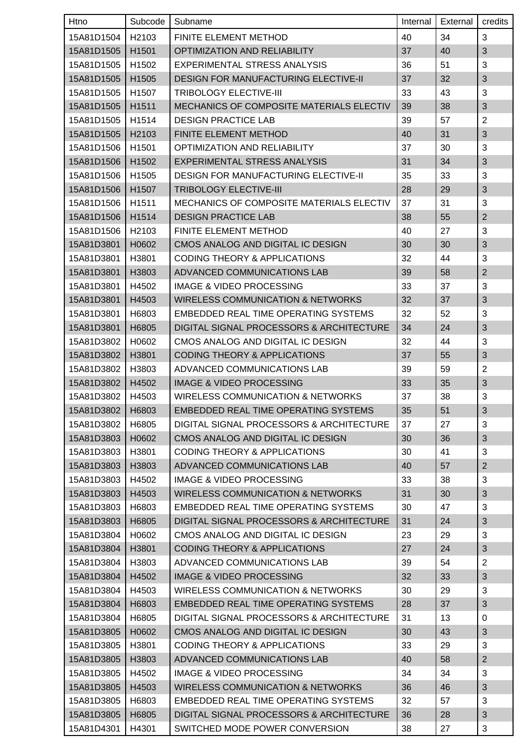| Htno               | Subcode           | Subname                                      | Internal | External | credits                   |
|--------------------|-------------------|----------------------------------------------|----------|----------|---------------------------|
| 15A81D1504         | H2103             | <b>FINITE ELEMENT METHOD</b>                 | 40       | 34       | 3                         |
| 15A81D1505         | H <sub>1501</sub> | <b>OPTIMIZATION AND RELIABILITY</b>          | 37       | 40       | 3                         |
| 15A81D1505         | H <sub>1502</sub> | <b>EXPERIMENTAL STRESS ANALYSIS</b>          | 36       | 51       | 3                         |
| 15A81D1505         | H1505             | <b>DESIGN FOR MANUFACTURING ELECTIVE-II</b>  | 37       | 32       | 3                         |
| 15A81D1505         | H <sub>1507</sub> | <b>TRIBOLOGY ELECTIVE-III</b>                | 33       | 43       | 3                         |
| 15A81D1505         | H <sub>1511</sub> | MECHANICS OF COMPOSITE MATERIALS ELECTIV     | 39       | 38       | 3                         |
| 15A81D1505         | H <sub>1514</sub> | <b>DESIGN PRACTICE LAB</b>                   | 39       | 57       | $\overline{2}$            |
| 15A81D1505         | H <sub>2103</sub> | FINITE ELEMENT METHOD                        | 40       | 31       | 3                         |
| 15A81D1506         | H1501             | <b>OPTIMIZATION AND RELIABILITY</b>          | 37       | 30       | 3                         |
| 15A81D1506         | H <sub>1502</sub> | <b>EXPERIMENTAL STRESS ANALYSIS</b>          | 31       | 34       | 3                         |
| 15A81D1506         | H <sub>1505</sub> | <b>DESIGN FOR MANUFACTURING ELECTIVE-II</b>  | 35       | 33       | 3                         |
| 15A81D1506         | H <sub>1507</sub> | <b>TRIBOLOGY ELECTIVE-III</b>                | 28       | 29       | 3                         |
| 15A81D1506         | H1511             | MECHANICS OF COMPOSITE MATERIALS ELECTIV     | 37       | 31       | 3                         |
| 15A81D1506         | H1514             | <b>DESIGN PRACTICE LAB</b>                   | 38       | 55       | $\overline{2}$            |
| 15A81D1506         | H <sub>2103</sub> | <b>FINITE ELEMENT METHOD</b>                 | 40       | 27       | 3                         |
| 15A81D3801         | H0602             | CMOS ANALOG AND DIGITAL IC DESIGN            | 30       | 30       | 3                         |
| 15A81D3801         | H3801             | <b>CODING THEORY &amp; APPLICATIONS</b>      | 32       | 44       | 3                         |
| 15A81D3801         | H3803             | ADVANCED COMMUNICATIONS LAB                  | 39       | 58       | $\overline{2}$            |
| 15A81D3801         | H4502             | <b>IMAGE &amp; VIDEO PROCESSING</b>          | 33       | 37       | 3                         |
| 15A81D3801         | H4503             | <b>WIRELESS COMMUNICATION &amp; NETWORKS</b> | 32       | 37       | 3                         |
| 15A81D3801         | H6803             | EMBEDDED REAL TIME OPERATING SYSTEMS         | 32       | 52       | 3                         |
| 15A81D3801         | H6805             | DIGITAL SIGNAL PROCESSORS & ARCHITECTURE     | 34       | 24       | 3                         |
| 15A81D3802         | H0602             | CMOS ANALOG AND DIGITAL IC DESIGN            | 32       | 44       | 3                         |
| 15A81D3802         | H3801             | <b>CODING THEORY &amp; APPLICATIONS</b>      | 37       | 55       | 3                         |
| 15A81D3802         | H3803             | ADVANCED COMMUNICATIONS LAB                  | 39       | 59       | $\overline{2}$            |
| 15A81D3802         | H4502             | <b>IMAGE &amp; VIDEO PROCESSING</b>          | 33       | 35       | 3                         |
| 15A81D3802         | H4503             | <b>WIRELESS COMMUNICATION &amp; NETWORKS</b> | 37       | 38       | 3                         |
| 15A81D3802   H6803 |                   | EMBEDDED REAL TIME OPERATING SYSTEMS         | 35       | 51       | $\ensuremath{\mathsf{3}}$ |
| 15A81D3802         | H6805             | DIGITAL SIGNAL PROCESSORS & ARCHITECTURE     | 37       | 27       | 3                         |
| 15A81D3803         | H0602             | CMOS ANALOG AND DIGITAL IC DESIGN            | 30       | 36       | $\mathfrak{S}$            |
| 15A81D3803         | H3801             | <b>CODING THEORY &amp; APPLICATIONS</b>      | 30       | 41       | 3                         |
| 15A81D3803         | H3803             | ADVANCED COMMUNICATIONS LAB                  | 40       | 57       | $\overline{2}$            |
| 15A81D3803         | H4502             | <b>IMAGE &amp; VIDEO PROCESSING</b>          | 33       | 38       | 3                         |
| 15A81D3803         | H4503             | <b>WIRELESS COMMUNICATION &amp; NETWORKS</b> | 31       | 30       | $\sqrt{3}$                |
| 15A81D3803         | H6803             | EMBEDDED REAL TIME OPERATING SYSTEMS         | 30       | 47       | 3                         |
| 15A81D3803         | H6805             | DIGITAL SIGNAL PROCESSORS & ARCHITECTURE     | 31       | 24       | 3                         |
| 15A81D3804         | H0602             | CMOS ANALOG AND DIGITAL IC DESIGN            | 23       | 29       | 3                         |
| 15A81D3804         | H3801             | <b>CODING THEORY &amp; APPLICATIONS</b>      | 27       | 24       | 3                         |
| 15A81D3804         | H3803             | ADVANCED COMMUNICATIONS LAB                  | 39       | 54       | $\overline{2}$            |
| 15A81D3804         | H4502             | <b>IMAGE &amp; VIDEO PROCESSING</b>          | 32       | 33       | 3                         |
| 15A81D3804         | H4503             | <b>WIRELESS COMMUNICATION &amp; NETWORKS</b> | 30       | 29       | 3                         |
| 15A81D3804         | H6803             | <b>EMBEDDED REAL TIME OPERATING SYSTEMS</b>  | 28       | 37       | 3                         |
| 15A81D3804         | H6805             | DIGITAL SIGNAL PROCESSORS & ARCHITECTURE     | 31       | 13       | 0                         |
| 15A81D3805         | H0602             | CMOS ANALOG AND DIGITAL IC DESIGN            | 30       | 43       | $\sqrt{3}$                |
| 15A81D3805         | H3801             | <b>CODING THEORY &amp; APPLICATIONS</b>      | 33       | 29       | 3                         |
| 15A81D3805         | H3803             | ADVANCED COMMUNICATIONS LAB                  | 40       | 58       | $\mathbf 2$               |
| 15A81D3805         | H4502             | <b>IMAGE &amp; VIDEO PROCESSING</b>          | 34       | 34       | 3                         |
| 15A81D3805         | H4503             | <b>WIRELESS COMMUNICATION &amp; NETWORKS</b> | 36       | 46       | 3                         |
| 15A81D3805         | H6803             | EMBEDDED REAL TIME OPERATING SYSTEMS         | 32       | 57       | 3                         |
| 15A81D3805         | H6805             | DIGITAL SIGNAL PROCESSORS & ARCHITECTURE     | 36       | 28       | $\sqrt{3}$                |
| 15A81D4301         | H4301             | SWITCHED MODE POWER CONVERSION               | 38       | 27       | 3                         |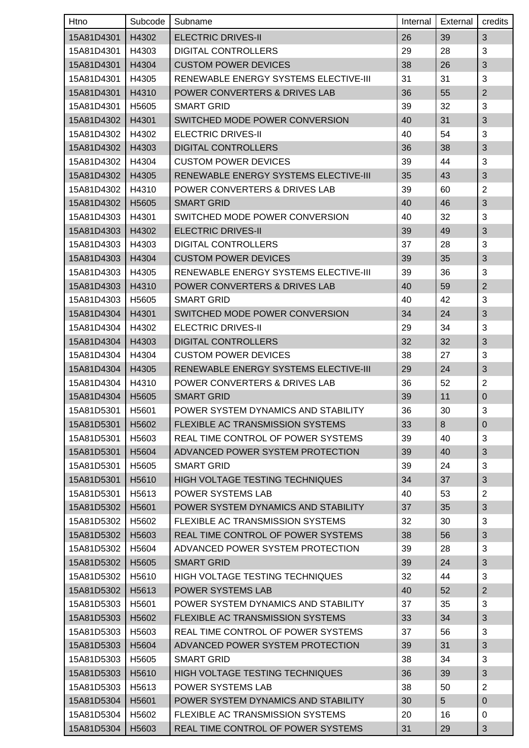| Htno       | Subcode           | Subname                                      | Internal | External       | credits        |
|------------|-------------------|----------------------------------------------|----------|----------------|----------------|
| 15A81D4301 | H4302             | <b>ELECTRIC DRIVES-II</b>                    | 26       | 39             | 3              |
| 15A81D4301 | H4303             | <b>DIGITAL CONTROLLERS</b>                   | 29       | 28             | 3              |
| 15A81D4301 | H4304             | <b>CUSTOM POWER DEVICES</b>                  | 38       | 26             | 3              |
| 15A81D4301 | H4305             | RENEWABLE ENERGY SYSTEMS ELECTIVE-III        | 31       | 31             | 3              |
| 15A81D4301 | H4310             | POWER CONVERTERS & DRIVES LAB                | 36       | 55             | $\overline{2}$ |
| 15A81D4301 | H5605             | <b>SMART GRID</b>                            | 39       | 32             | 3              |
| 15A81D4302 | H4301             | SWITCHED MODE POWER CONVERSION               | 40       | 31             | 3              |
| 15A81D4302 | H4302             | <b>ELECTRIC DRIVES-II</b>                    | 40       | 54             | 3              |
| 15A81D4302 | H4303             | <b>DIGITAL CONTROLLERS</b>                   | 36       | 38             | 3              |
| 15A81D4302 | H4304             | <b>CUSTOM POWER DEVICES</b>                  | 39       | 44             | 3              |
| 15A81D4302 | H4305             | RENEWABLE ENERGY SYSTEMS ELECTIVE-III        | 35       | 43             | $\sqrt{3}$     |
| 15A81D4302 | H4310             | POWER CONVERTERS & DRIVES LAB                | 39       | 60             | $\overline{2}$ |
| 15A81D4302 | H <sub>5605</sub> | <b>SMART GRID</b>                            | 40       | 46             | 3              |
| 15A81D4303 | H4301             | SWITCHED MODE POWER CONVERSION               | 40       | 32             | 3              |
| 15A81D4303 | H4302             | <b>ELECTRIC DRIVES-II</b>                    | 39       | 49             | 3              |
| 15A81D4303 | H4303             | <b>DIGITAL CONTROLLERS</b>                   | 37       | 28             | 3              |
| 15A81D4303 | H4304             | <b>CUSTOM POWER DEVICES</b>                  | 39       | 35             | 3              |
| 15A81D4303 | H4305             | <b>RENEWABLE ENERGY SYSTEMS ELECTIVE-III</b> | 39       | 36             | 3              |
| 15A81D4303 | H4310             | POWER CONVERTERS & DRIVES LAB                | 40       | 59             | $\overline{2}$ |
| 15A81D4303 | H <sub>5605</sub> | <b>SMART GRID</b>                            | 40       | 42             | 3              |
| 15A81D4304 | H4301             | SWITCHED MODE POWER CONVERSION               | 34       | 24             | 3              |
| 15A81D4304 | H4302             | <b>ELECTRIC DRIVES-II</b>                    | 29       | 34             | 3              |
| 15A81D4304 | H4303             | <b>DIGITAL CONTROLLERS</b>                   | 32       | 32             | 3              |
| 15A81D4304 | H4304             | <b>CUSTOM POWER DEVICES</b>                  | 38       | 27             | 3              |
| 15A81D4304 | H4305             | <b>RENEWABLE ENERGY SYSTEMS ELECTIVE-III</b> | 29       | 24             | 3              |
| 15A81D4304 | H4310             | POWER CONVERTERS & DRIVES LAB                | 36       | 52             | $\overline{2}$ |
| 15A81D4304 | H5605             | <b>SMART GRID</b>                            | 39       | 11             | $\pmb{0}$      |
| 15A81D5301 | H5601             | POWER SYSTEM DYNAMICS AND STABILITY          | 36       | 30             | 3              |
| 15A81D5301 | H <sub>5602</sub> | FLEXIBLE AC TRANSMISSION SYSTEMS             | 33       | 8              | $\mathbf 0$    |
| 15A81D5301 | H5603             | REAL TIME CONTROL OF POWER SYSTEMS           | 39       | 40             | 3              |
| 15A81D5301 | H5604             | ADVANCED POWER SYSTEM PROTECTION             | 39       | 40             | 3              |
| 15A81D5301 | H5605             | <b>SMART GRID</b>                            | 39       | 24             | 3              |
| 15A81D5301 | H5610             | HIGH VOLTAGE TESTING TECHNIQUES              | 34       | 37             | 3              |
| 15A81D5301 | H <sub>5613</sub> | <b>POWER SYSTEMS LAB</b>                     | 40       | 53             | $\overline{2}$ |
| 15A81D5302 | H <sub>5601</sub> | POWER SYSTEM DYNAMICS AND STABILITY          | 37       | 35             | 3              |
| 15A81D5302 | H <sub>5602</sub> | FLEXIBLE AC TRANSMISSION SYSTEMS             | 32       | 30             | 3              |
| 15A81D5302 | H5603             | REAL TIME CONTROL OF POWER SYSTEMS           | 38       | 56             | 3              |
| 15A81D5302 | H5604             | ADVANCED POWER SYSTEM PROTECTION             | 39       | 28             | 3              |
| 15A81D5302 | H5605             | <b>SMART GRID</b>                            | 39       | 24             | 3              |
| 15A81D5302 | H <sub>5610</sub> | HIGH VOLTAGE TESTING TECHNIQUES              | 32       | 44             | 3              |
| 15A81D5302 | H <sub>5613</sub> | <b>POWER SYSTEMS LAB</b>                     | 40       | 52             | $\mathbf 2$    |
| 15A81D5303 | H5601             | POWER SYSTEM DYNAMICS AND STABILITY          | 37       | 35             | 3              |
| 15A81D5303 | H5602             | FLEXIBLE AC TRANSMISSION SYSTEMS             | 33       | 34             | $\mathfrak{S}$ |
| 15A81D5303 | H <sub>5603</sub> | REAL TIME CONTROL OF POWER SYSTEMS           | 37       | 56             | 3              |
| 15A81D5303 | H <sub>5604</sub> | ADVANCED POWER SYSTEM PROTECTION             | 39       | 31             | 3              |
| 15A81D5303 | H <sub>5605</sub> | <b>SMART GRID</b>                            | 38       | 34             | 3              |
| 15A81D5303 | H5610             | HIGH VOLTAGE TESTING TECHNIQUES              | 36       | 39             | 3              |
| 15A81D5303 | H5613             | POWER SYSTEMS LAB                            | 38       | 50             | $\overline{2}$ |
| 15A81D5304 | H5601             | POWER SYSTEM DYNAMICS AND STABILITY          | 30       | 5 <sup>5</sup> | $\pmb{0}$      |
| 15A81D5304 | H <sub>5602</sub> | FLEXIBLE AC TRANSMISSION SYSTEMS             | 20       | 16             | 0              |
| 15A81D5304 | H5603             | REAL TIME CONTROL OF POWER SYSTEMS           | 31       | 29             | $\sqrt{3}$     |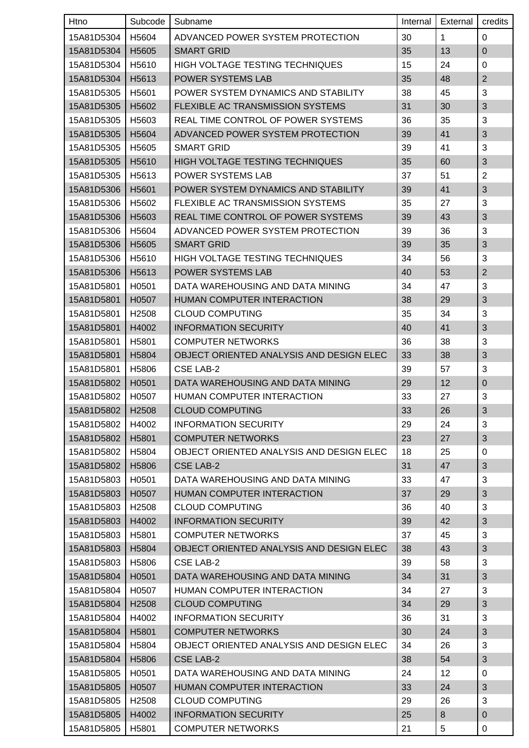| Htno       | Subcode           | Subname                                  | Internal | External | credits        |
|------------|-------------------|------------------------------------------|----------|----------|----------------|
| 15A81D5304 | H5604             | ADVANCED POWER SYSTEM PROTECTION         | 30       | 1.       | 0              |
| 15A81D5304 | H5605             | <b>SMART GRID</b>                        | 35       | 13       | $\mathbf{0}$   |
| 15A81D5304 | H5610             | <b>HIGH VOLTAGE TESTING TECHNIQUES</b>   | 15       | 24       | 0              |
| 15A81D5304 | H5613             | POWER SYSTEMS LAB                        | 35       | 48       | $\overline{2}$ |
| 15A81D5305 | H5601             | POWER SYSTEM DYNAMICS AND STABILITY      | 38       | 45       | 3              |
| 15A81D5305 | H <sub>5602</sub> | FLEXIBLE AC TRANSMISSION SYSTEMS         | 31       | 30       | 3              |
| 15A81D5305 | H5603             | REAL TIME CONTROL OF POWER SYSTEMS       | 36       | 35       | 3              |
| 15A81D5305 | H5604             | ADVANCED POWER SYSTEM PROTECTION         | 39       | 41       | 3              |
| 15A81D5305 | H <sub>5605</sub> | <b>SMART GRID</b>                        | 39       | 41       | 3              |
| 15A81D5305 | H <sub>5610</sub> | HIGH VOLTAGE TESTING TECHNIQUES          | 35       | 60       | 3              |
| 15A81D5305 | H <sub>5613</sub> | POWER SYSTEMS LAB                        | 37       | 51       | $\overline{2}$ |
| 15A81D5306 | H5601             | POWER SYSTEM DYNAMICS AND STABILITY      | 39       | 41       | 3              |
| 15A81D5306 | H5602             | <b>FLEXIBLE AC TRANSMISSION SYSTEMS</b>  | 35       | 27       | 3              |
| 15A81D5306 | H5603             | REAL TIME CONTROL OF POWER SYSTEMS       | 39       | 43       | 3              |
| 15A81D5306 | H5604             | ADVANCED POWER SYSTEM PROTECTION         | 39       | 36       | 3              |
| 15A81D5306 | H <sub>5605</sub> | <b>SMART GRID</b>                        | 39       | 35       | 3              |
| 15A81D5306 | H <sub>5610</sub> | <b>HIGH VOLTAGE TESTING TECHNIQUES</b>   | 34       | 56       | 3              |
| 15A81D5306 | H <sub>5613</sub> | <b>POWER SYSTEMS LAB</b>                 | 40       | 53       | $\overline{2}$ |
| 15A81D5801 | H0501             | DATA WAREHOUSING AND DATA MINING         | 34       | 47       | 3              |
| 15A81D5801 | H0507             | HUMAN COMPUTER INTERACTION               | 38       | 29       | 3              |
| 15A81D5801 | H <sub>2508</sub> | <b>CLOUD COMPUTING</b>                   | 35       | 34       | 3              |
| 15A81D5801 | H4002             | <b>INFORMATION SECURITY</b>              | 40       | 41       | 3              |
| 15A81D5801 | H5801             | <b>COMPUTER NETWORKS</b>                 | 36       | 38       | 3              |
| 15A81D5801 | H5804             | OBJECT ORIENTED ANALYSIS AND DESIGN ELEC | 33       | 38       | 3              |
| 15A81D5801 | H <sub>5806</sub> | <b>CSE LAB-2</b>                         | 39       | 57       | 3              |
| 15A81D5802 | H0501             | DATA WAREHOUSING AND DATA MINING         | 29       | 12       | $\overline{0}$ |
| 15A81D5802 | H0507             | HUMAN COMPUTER INTERACTION               | 33       | 27       | 3              |
| 15A81D5802 | H2508             | <b>CLOUD COMPUTING</b>                   | 33       | 26       | $\sqrt{3}$     |
| 15A81D5802 | H4002             | <b>INFORMATION SECURITY</b>              | 29       | 24       | 3              |
| 15A81D5802 | H5801             | <b>COMPUTER NETWORKS</b>                 | 23       | 27       | 3              |
| 15A81D5802 | H5804             | OBJECT ORIENTED ANALYSIS AND DESIGN ELEC | 18       | 25       | 0              |
| 15A81D5802 | H5806             | <b>CSE LAB-2</b>                         | 31       | 47       | 3              |
| 15A81D5803 | H0501             | DATA WAREHOUSING AND DATA MINING         | 33       | 47       | 3              |
| 15A81D5803 | H0507             | HUMAN COMPUTER INTERACTION               | 37       | 29       | $\sqrt{3}$     |
| 15A81D5803 | H <sub>2508</sub> | <b>CLOUD COMPUTING</b>                   | 36       | 40       | 3              |
| 15A81D5803 | H4002             | <b>INFORMATION SECURITY</b>              | 39       | 42       | 3              |
| 15A81D5803 | H <sub>5801</sub> | <b>COMPUTER NETWORKS</b>                 | 37       | 45       | 3              |
| 15A81D5803 | H5804             | OBJECT ORIENTED ANALYSIS AND DESIGN ELEC | 38       | 43       | 3              |
| 15A81D5803 | H5806             | CSE LAB-2                                | 39       | 58       | 3              |
| 15A81D5804 | H0501             | DATA WAREHOUSING AND DATA MINING         | 34       | 31       | 3              |
| 15A81D5804 | H0507             | HUMAN COMPUTER INTERACTION               | 34       | 27       | 3              |
| 15A81D5804 | H <sub>2508</sub> | <b>CLOUD COMPUTING</b>                   | 34       | 29       | 3              |
| 15A81D5804 | H4002             | <b>INFORMATION SECURITY</b>              | 36       | 31       | 3              |
| 15A81D5804 | H5801             | <b>COMPUTER NETWORKS</b>                 | 30       | 24       | 3              |
| 15A81D5804 | H5804             | OBJECT ORIENTED ANALYSIS AND DESIGN ELEC | 34       | 26       | 3              |
| 15A81D5804 | H5806             | <b>CSE LAB-2</b>                         | 38       | 54       | $\mathfrak{S}$ |
| 15A81D5805 | H0501             | DATA WAREHOUSING AND DATA MINING         | 24       | 12       | 0              |
| 15A81D5805 | H0507             | HUMAN COMPUTER INTERACTION               | 33       | 24       | 3              |
| 15A81D5805 | H2508             | <b>CLOUD COMPUTING</b>                   | 29       | 26       | 3              |
| 15A81D5805 | H4002             | <b>INFORMATION SECURITY</b>              | 25       | 8        | $\pmb{0}$      |
| 15A81D5805 | H5801             | <b>COMPUTER NETWORKS</b>                 | 21       | 5        | 0              |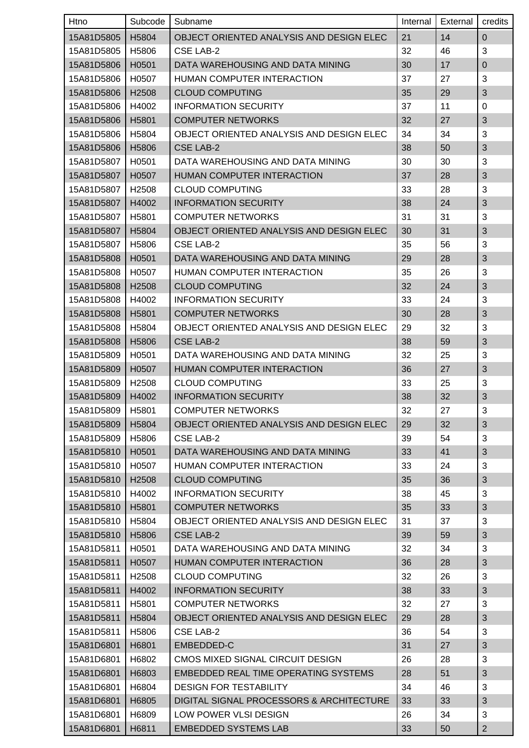| Htno       | Subcode           | Subname                                  | Internal | External | credits        |
|------------|-------------------|------------------------------------------|----------|----------|----------------|
| 15A81D5805 | H5804             | OBJECT ORIENTED ANALYSIS AND DESIGN ELEC | 21       | 14       | $\Omega$       |
| 15A81D5805 | H <sub>5806</sub> | CSE LAB-2                                | 32       | 46       | 3              |
| 15A81D5806 | H0501             | DATA WAREHOUSING AND DATA MINING         | 30       | 17       | $\mathbf 0$    |
| 15A81D5806 | H0507             | <b>HUMAN COMPUTER INTERACTION</b>        | 37       | 27       | 3              |
| 15A81D5806 | H2508             | <b>CLOUD COMPUTING</b>                   | 35       | 29       | 3              |
| 15A81D5806 | H4002             | <b>INFORMATION SECURITY</b>              | 37       | 11       | $\Omega$       |
| 15A81D5806 | H5801             | <b>COMPUTER NETWORKS</b>                 | 32       | 27       | 3              |
| 15A81D5806 | H5804             | OBJECT ORIENTED ANALYSIS AND DESIGN ELEC | 34       | 34       | 3              |
| 15A81D5806 | H5806             | <b>CSE LAB-2</b>                         | 38       | 50       | 3              |
| 15A81D5807 | H0501             | DATA WAREHOUSING AND DATA MINING         | 30       | 30       | 3              |
| 15A81D5807 | H0507             | HUMAN COMPUTER INTERACTION               | 37       | 28       | 3              |
| 15A81D5807 | H <sub>2508</sub> | <b>CLOUD COMPUTING</b>                   | 33       | 28       | 3              |
| 15A81D5807 | H4002             | <b>INFORMATION SECURITY</b>              | 38       | 24       | 3              |
| 15A81D5807 | H5801             | <b>COMPUTER NETWORKS</b>                 | 31       | 31       | 3              |
| 15A81D5807 | H5804             | OBJECT ORIENTED ANALYSIS AND DESIGN ELEC | 30       | 31       | 3              |
| 15A81D5807 | H5806             | CSE LAB-2                                | 35       | 56       | 3              |
| 15A81D5808 | H0501             | DATA WAREHOUSING AND DATA MINING         | 29       | 28       | 3              |
| 15A81D5808 | H0507             | HUMAN COMPUTER INTERACTION               | 35       | 26       | 3              |
| 15A81D5808 | H <sub>2508</sub> | <b>CLOUD COMPUTING</b>                   | 32       | 24       | 3              |
| 15A81D5808 | H4002             | <b>INFORMATION SECURITY</b>              | 33       | 24       | 3              |
| 15A81D5808 | H5801             | <b>COMPUTER NETWORKS</b>                 | 30       | 28       | 3              |
| 15A81D5808 | H <sub>5804</sub> | OBJECT ORIENTED ANALYSIS AND DESIGN ELEC | 29       | 32       | 3              |
| 15A81D5808 | H <sub>5806</sub> | <b>CSE LAB-2</b>                         | 38       | 59       | 3              |
| 15A81D5809 | H0501             | DATA WAREHOUSING AND DATA MINING         | 32       | 25       | 3              |
| 15A81D5809 | H0507             | HUMAN COMPUTER INTERACTION               | 36       | 27       | 3              |
| 15A81D5809 | H <sub>2508</sub> | <b>CLOUD COMPUTING</b>                   | 33       | 25       | 3              |
| 15A81D5809 | H4002             | <b>INFORMATION SECURITY</b>              | 38       | 32       | 3              |
| 15A81D5809 | H5801             | <b>COMPUTER NETWORKS</b>                 | 32       | 27       | 3              |
| 15A81D5809 | H5804             | OBJECT ORIENTED ANALYSIS AND DESIGN ELEC | 29       | 32       | 3              |
| 15A81D5809 | H5806             | CSE LAB-2                                | 39       | 54       | 3              |
| 15A81D5810 | H0501             | DATA WAREHOUSING AND DATA MINING         | 33       | 41       | 3              |
| 15A81D5810 | H0507             | HUMAN COMPUTER INTERACTION               | 33       | 24       | 3              |
| 15A81D5810 | H2508             | <b>CLOUD COMPUTING</b>                   | 35       | 36       | 3              |
| 15A81D5810 | H4002             | <b>INFORMATION SECURITY</b>              | 38       | 45       | 3              |
| 15A81D5810 | H5801             | <b>COMPUTER NETWORKS</b>                 | 35       | 33       | 3              |
| 15A81D5810 | H5804             | OBJECT ORIENTED ANALYSIS AND DESIGN ELEC | 31       | 37       | 3              |
| 15A81D5810 | H5806             | <b>CSE LAB-2</b>                         | 39       | 59       | 3              |
| 15A81D5811 | H0501             | DATA WAREHOUSING AND DATA MINING         | 32       | 34       | 3              |
| 15A81D5811 | H0507             | HUMAN COMPUTER INTERACTION               | 36       | 28       | 3              |
| 15A81D5811 | H2508             | <b>CLOUD COMPUTING</b>                   | 32       | 26       | 3              |
| 15A81D5811 | H4002             | <b>INFORMATION SECURITY</b>              | 38       | 33       | $\sqrt{3}$     |
| 15A81D5811 | H <sub>5801</sub> | <b>COMPUTER NETWORKS</b>                 | 32       | 27       | 3              |
| 15A81D5811 | H5804             | OBJECT ORIENTED ANALYSIS AND DESIGN ELEC | 29       | 28       | 3              |
| 15A81D5811 | H5806             | CSE LAB-2                                | 36       | 54       | 3              |
| 15A81D6801 | H6801             | EMBEDDED-C                               | 31       | 27       | 3              |
| 15A81D6801 | H6802             | CMOS MIXED SIGNAL CIRCUIT DESIGN         | 26       | 28       | 3              |
| 15A81D6801 | H6803             | EMBEDDED REAL TIME OPERATING SYSTEMS     | 28       | 51       | 3              |
| 15A81D6801 | H6804             | <b>DESIGN FOR TESTABILITY</b>            | 34       | 46       | 3              |
| 15A81D6801 | H6805             | DIGITAL SIGNAL PROCESSORS & ARCHITECTURE | 33       | 33       | 3              |
| 15A81D6801 | H6809             | LOW POWER VLSI DESIGN                    | 26       | 34       | 3              |
| 15A81D6801 | H6811             | <b>EMBEDDED SYSTEMS LAB</b>              | 33       | 50       | $\overline{2}$ |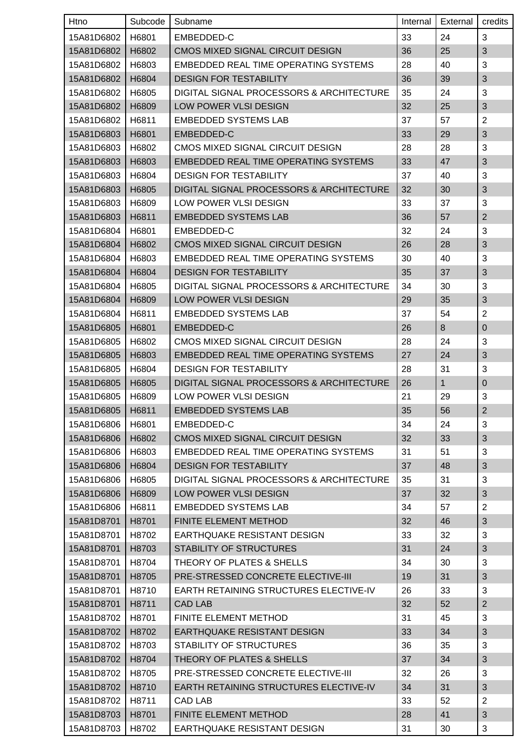| Htno               | Subcode | Subname                                     | Internal | External     | credits        |
|--------------------|---------|---------------------------------------------|----------|--------------|----------------|
| 15A81D6802         | H6801   | EMBEDDED-C                                  | 33       | 24           | 3              |
| 15A81D6802         | H6802   | CMOS MIXED SIGNAL CIRCUIT DESIGN            | 36       | 25           | 3              |
| 15A81D6802         | H6803   | EMBEDDED REAL TIME OPERATING SYSTEMS        | 28       | 40           | 3              |
| 15A81D6802         | H6804   | <b>DESIGN FOR TESTABILITY</b>               | 36       | 39           | $\sqrt{3}$     |
| 15A81D6802         | H6805   | DIGITAL SIGNAL PROCESSORS & ARCHITECTURE    | 35       | 24           | 3              |
| 15A81D6802         | H6809   | LOW POWER VLSI DESIGN                       | 32       | 25           | 3              |
| 15A81D6802         | H6811   | <b>EMBEDDED SYSTEMS LAB</b>                 | 37       | 57           | $\overline{2}$ |
| 15A81D6803         | H6801   | EMBEDDED-C                                  | 33       | 29           | 3              |
| 15A81D6803         | H6802   | CMOS MIXED SIGNAL CIRCUIT DESIGN            | 28       | 28           | 3              |
| 15A81D6803         | H6803   | <b>EMBEDDED REAL TIME OPERATING SYSTEMS</b> | 33       | 47           | 3              |
| 15A81D6803         | H6804   | <b>DESIGN FOR TESTABILITY</b>               | 37       | 40           | 3              |
| 15A81D6803         | H6805   | DIGITAL SIGNAL PROCESSORS & ARCHITECTURE    | 32       | 30           | 3              |
| 15A81D6803         | H6809   | LOW POWER VLSI DESIGN                       | 33       | 37           | 3              |
| 15A81D6803         | H6811   | <b>EMBEDDED SYSTEMS LAB</b>                 | 36       | 57           | $\overline{2}$ |
| 15A81D6804         | H6801   | EMBEDDED-C                                  | 32       | 24           | 3              |
| 15A81D6804         | H6802   | CMOS MIXED SIGNAL CIRCUIT DESIGN            | 26       | 28           | 3              |
| 15A81D6804         | H6803   | EMBEDDED REAL TIME OPERATING SYSTEMS        | 30       | 40           | 3              |
| 15A81D6804         | H6804   | <b>DESIGN FOR TESTABILITY</b>               | 35       | 37           | 3              |
| 15A81D6804         | H6805   | DIGITAL SIGNAL PROCESSORS & ARCHITECTURE    | 34       | 30           | 3              |
| 15A81D6804         | H6809   | LOW POWER VLSI DESIGN                       | 29       | 35           | 3              |
| 15A81D6804         | H6811   | <b>EMBEDDED SYSTEMS LAB</b>                 | 37       | 54           | $\overline{2}$ |
| 15A81D6805         | H6801   | EMBEDDED-C                                  | 26       | 8            | $\mathbf{0}$   |
| 15A81D6805         | H6802   | CMOS MIXED SIGNAL CIRCUIT DESIGN            | 28       | 24           | 3              |
| 15A81D6805         | H6803   | <b>EMBEDDED REAL TIME OPERATING SYSTEMS</b> | 27       | 24           | 3              |
| 15A81D6805         | H6804   | <b>DESIGN FOR TESTABILITY</b>               | 28       | 31           | 3              |
| 15A81D6805         | H6805   | DIGITAL SIGNAL PROCESSORS & ARCHITECTURE    | 26       | $\mathbf{1}$ | $\mathbf 0$    |
| 15A81D6805         | H6809   | LOW POWER VLSI DESIGN                       | 21       | 29           | 3              |
| 15A81D6805   H6811 |         | <b>EMBEDDED SYSTEMS LAB</b>                 | 35       | 56           | $\overline{2}$ |
| 15A81D6806         | H6801   | EMBEDDED-C                                  | 34       | 24           | 3              |
| 15A81D6806         | H6802   | CMOS MIXED SIGNAL CIRCUIT DESIGN            | 32       | 33           | 3              |
| 15A81D6806         | H6803   | EMBEDDED REAL TIME OPERATING SYSTEMS        | 31       | 51           | 3              |
| 15A81D6806         | H6804   | <b>DESIGN FOR TESTABILITY</b>               | 37       | 48           | 3              |
| 15A81D6806         | H6805   | DIGITAL SIGNAL PROCESSORS & ARCHITECTURE    | 35       | 31           | 3              |
| 15A81D6806         | H6809   | LOW POWER VLSI DESIGN                       | 37       | 32           | $\sqrt{3}$     |
| 15A81D6806         | H6811   | <b>EMBEDDED SYSTEMS LAB</b>                 | 34       | 57           | $\overline{2}$ |
| 15A81D8701         | H8701   | FINITE ELEMENT METHOD                       | 32       | 46           | $\mathfrak{S}$ |
| 15A81D8701         | H8702   | EARTHQUAKE RESISTANT DESIGN                 | 33       | 32           | 3              |
| 15A81D8701         | H8703   | <b>STABILITY OF STRUCTURES</b>              | 31       | 24           | 3              |
| 15A81D8701         | H8704   | THEORY OF PLATES & SHELLS                   | 34       | 30           | 3              |
| 15A81D8701         | H8705   | PRE-STRESSED CONCRETE ELECTIVE-III          | 19       | 31           | 3              |
| 15A81D8701         | H8710   | EARTH RETAINING STRUCTURES ELECTIVE-IV      | 26       | 33           | 3              |
| 15A81D8701         | H8711   | <b>CAD LAB</b>                              | 32       | 52           | $\overline{2}$ |
| 15A81D8702         | H8701   | FINITE ELEMENT METHOD                       | 31       | 45           | 3              |
| 15A81D8702         | H8702   | EARTHQUAKE RESISTANT DESIGN                 | 33       | 34           | $\sqrt{3}$     |
| 15A81D8702         | H8703   | STABILITY OF STRUCTURES                     | 36       | 35           | 3              |
| 15A81D8702         | H8704   | THEORY OF PLATES & SHELLS                   | 37       | 34           | $\mathfrak{S}$ |
| 15A81D8702         | H8705   | PRE-STRESSED CONCRETE ELECTIVE-III          | 32       | 26           | 3              |
| 15A81D8702         | H8710   | EARTH RETAINING STRUCTURES ELECTIVE-IV      | 34       | 31           | 3              |
| 15A81D8702         | H8711   | <b>CAD LAB</b>                              | 33       | 52           | $\overline{2}$ |
| 15A81D8703         | H8701   | FINITE ELEMENT METHOD                       | 28       | 41           | $\sqrt{3}$     |
| 15A81D8703         | H8702   | EARTHQUAKE RESISTANT DESIGN                 | 31       | 30           | 3              |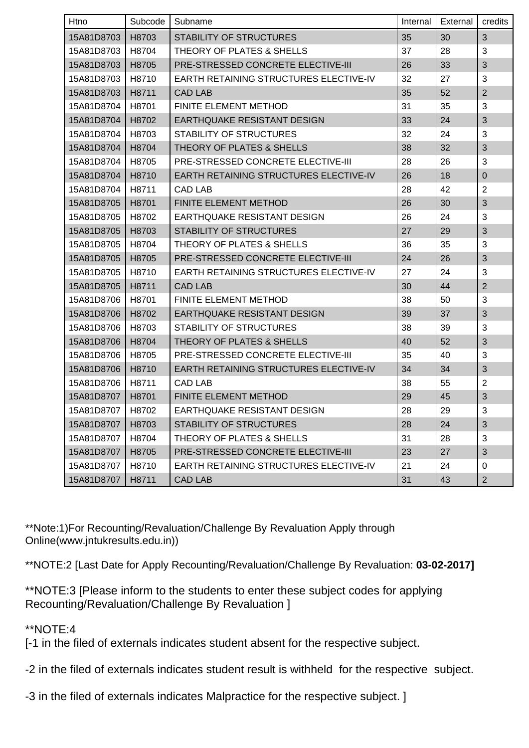| Htno       | Subcode | Subname                                | Internal | External | credits        |
|------------|---------|----------------------------------------|----------|----------|----------------|
| 15A81D8703 | H8703   | <b>STABILITY OF STRUCTURES</b>         | 35       | 30       | 3              |
| 15A81D8703 | H8704   | THEORY OF PLATES & SHELLS              | 37       | 28       | 3              |
| 15A81D8703 | H8705   | PRE-STRESSED CONCRETE ELECTIVE-III     | 26       | 33       | $\mathbf{3}$   |
| 15A81D8703 | H8710   | EARTH RETAINING STRUCTURES ELECTIVE-IV | 32       | 27       | 3              |
| 15A81D8703 | H8711   | <b>CAD LAB</b>                         | 35       | 52       | $\overline{2}$ |
| 15A81D8704 | H8701   | <b>FINITE ELEMENT METHOD</b>           | 31       | 35       | 3              |
| 15A81D8704 | H8702   | EARTHQUAKE RESISTANT DESIGN            | 33       | 24       | 3              |
| 15A81D8704 | H8703   | STABILITY OF STRUCTURES                | 32       | 24       | 3              |
| 15A81D8704 | H8704   | THEORY OF PLATES & SHELLS              | 38       | 32       | $\sqrt{3}$     |
| 15A81D8704 | H8705   | PRE-STRESSED CONCRETE ELECTIVE-III     | 28       | 26       | 3              |
| 15A81D8704 | H8710   | EARTH RETAINING STRUCTURES ELECTIVE-IV | 26       | 18       | $\overline{0}$ |
| 15A81D8704 | H8711   | <b>CAD LAB</b>                         | 28       | 42       | $\overline{2}$ |
| 15A81D8705 | H8701   | FINITE ELEMENT METHOD                  | 26       | 30       | $\mathbf{3}$   |
| 15A81D8705 | H8702   | <b>EARTHQUAKE RESISTANT DESIGN</b>     | 26       | 24       | $\mathbf{3}$   |
| 15A81D8705 | H8703   | <b>STABILITY OF STRUCTURES</b>         | 27       | 29       | $\mathbf{3}$   |
| 15A81D8705 | H8704   | THEORY OF PLATES & SHELLS              | 36       | 35       | 3              |
| 15A81D8705 | H8705   | PRE-STRESSED CONCRETE ELECTIVE-III     | 24       | 26       | 3              |
| 15A81D8705 | H8710   | EARTH RETAINING STRUCTURES ELECTIVE-IV | 27       | 24       | 3              |
| 15A81D8705 | H8711   | <b>CAD LAB</b>                         | 30       | 44       | $\overline{2}$ |
| 15A81D8706 | H8701   | <b>FINITE ELEMENT METHOD</b>           | 38       | 50       | 3              |
| 15A81D8706 | H8702   | <b>EARTHQUAKE RESISTANT DESIGN</b>     | 39       | 37       | $\mathbf{3}$   |
| 15A81D8706 | H8703   | STABILITY OF STRUCTURES                | 38       | 39       | 3              |
| 15A81D8706 | H8704   | THEORY OF PLATES & SHELLS              | 40       | 52       | $\mathbf{3}$   |
| 15A81D8706 | H8705   | PRE-STRESSED CONCRETE ELECTIVE-III     | 35       | 40       | 3              |
| 15A81D8706 | H8710   | EARTH RETAINING STRUCTURES ELECTIVE-IV | 34       | 34       | $\mathbf{3}$   |
| 15A81D8706 | H8711   | <b>CAD LAB</b>                         | 38       | 55       | $\overline{2}$ |
| 15A81D8707 | H8701   | FINITE ELEMENT METHOD                  | 29       | 45       | 3              |
| 15A81D8707 | H8702   | EARTHQUAKE RESISTANT DESIGN            | 28       | 29       | 3              |
| 15A81D8707 | H8703   | <b>STABILITY OF STRUCTURES</b>         | 28       | 24       | 3              |
| 15A81D8707 | H8704   | THEORY OF PLATES & SHELLS              | 31       | 28       | 3              |
| 15A81D8707 | H8705   | PRE-STRESSED CONCRETE ELECTIVE-III     | 23       | 27       | 3              |
| 15A81D8707 | H8710   | EARTH RETAINING STRUCTURES ELECTIVE-IV | 21       | 24       | $\mathbf 0$    |
| 15A81D8707 | H8711   | <b>CAD LAB</b>                         | 31       | 43       | $\overline{2}$ |

\*\*Note:1)For Recounting/Revaluation/Challenge By Revaluation Apply through Online(www.jntukresults.edu.in))

\*\*NOTE:2 [Last Date for Apply Recounting/Revaluation/Challenge By Revaluation: **03-02-2017]**

\*\*NOTE:3 [Please inform to the students to enter these subject codes for applying Recounting/Revaluation/Challenge By Revaluation ]

## \*\*NOTE:4

[-1 in the filed of externals indicates student absent for the respective subject.

-2 in the filed of externals indicates student result is withheld for the respective subject.

-3 in the filed of externals indicates Malpractice for the respective subject. ]